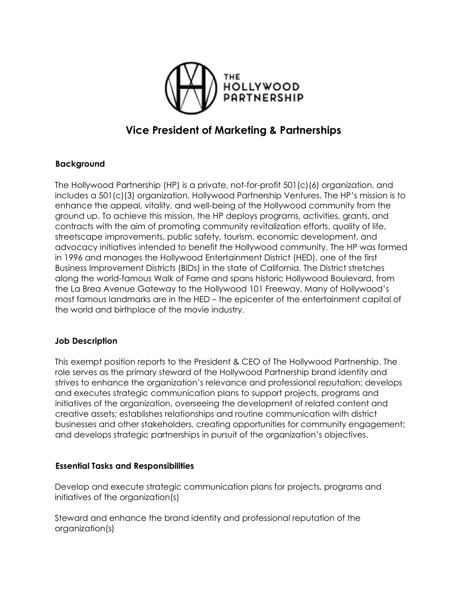

# Vice President of Marketing & Partnerships

# Background

The Hollywood Partnership (HP) is a private, not-for-profit 501(c)(6) organization, and includes a 501(c)(3) organization, Hollywood Partnership Ventures. The HP's mission is to enhance the appeal, vitality, and well-being of the Hollywood community from the ground up. To achieve this mission, the HP deploys programs, activities, grants, and contracts with the aim of promoting community revitalization efforts, quality of life, streetscape improvements, public safety, tourism, economic development, and advocacy initiatives intended to benefit the Hollywood community. The HP was formed in 1996 and manages the Hollywood Entertainment District (HED), one of the first Business Improvement Districts (BIDs) in the state of California. The District stretches along the world-famous Walk of Fame and spans historic Hollywood Boulevard, from the La Brea Avenue Gateway to the Hollywood 101 Freeway. Many of Hollywood's most famous landmarks are in the HED – the epicenter of the entertainment capital of the world and birthplace of the movie industry.

# Job Description

This exempt position reports to the President & CEO of The Hollywood Partnership. The role serves as the primary steward of the Hollywood Partnership brand identity and strives to enhance the organization's relevance and professional reputation; develops and executes strategic communication plans to support projects, programs and initiatives of the organization, overseeing the development of related content and creative assets; establishes relationships and routine communication with district businesses and other stakeholders, creating opportunities for community engagement; and develops strategic partnerships in pursuit of the organization's objectives.

# Essential Tasks and Responsibilities

Develop and execute strategic communication plans for projects, programs and initiatives of the organization(s)

Steward and enhance the brand identity and professional reputation of the organization(s)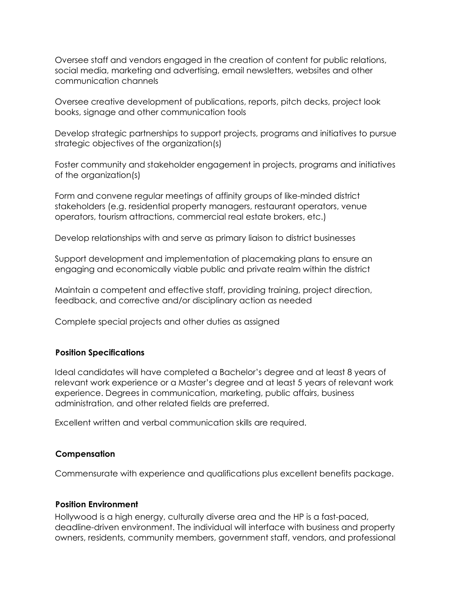Oversee staff and vendors engaged in the creation of content for public relations, social media, marketing and advertising, email newsletters, websites and other communication channels

Oversee creative development of publications, reports, pitch decks, project look books, signage and other communication tools

Develop strategic partnerships to support projects, programs and initiatives to pursue strategic objectives of the organization(s)

Foster community and stakeholder engagement in projects, programs and initiatives of the organization(s)

Form and convene regular meetings of affinity groups of like-minded district stakeholders (e.g. residential property managers, restaurant operators, venue operators, tourism attractions, commercial real estate brokers, etc.)

Develop relationships with and serve as primary liaison to district businesses

Support development and implementation of placemaking plans to ensure an engaging and economically viable public and private realm within the district

Maintain a competent and effective staff, providing training, project direction, feedback, and corrective and/or disciplinary action as needed

Complete special projects and other duties as assigned

### Position Specifications

Ideal candidates will have completed a Bachelor's degree and at least 8 years of relevant work experience or a Master's degree and at least 5 years of relevant work experience. Degrees in communication, marketing, public affairs, business administration, and other related fields are preferred.

Excellent written and verbal communication skills are required.

### Compensation

Commensurate with experience and qualifications plus excellent benefits package.

### Position Environment

Hollywood is a high energy, culturally diverse area and the HP is a fast-paced, deadline-driven environment. The individual will interface with business and property owners, residents, community members, government staff, vendors, and professional